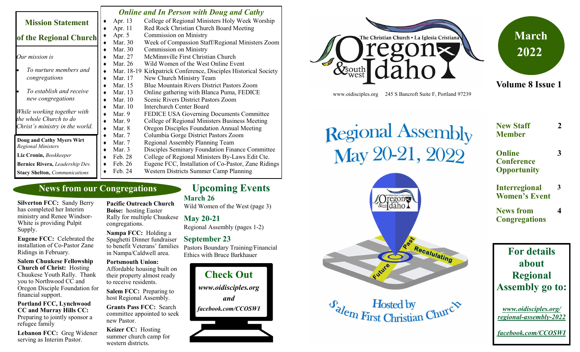|                                                        | <b>Online and In Person with Doug and Cathy</b> |                                                                 |
|--------------------------------------------------------|-------------------------------------------------|-----------------------------------------------------------------|
| <b>Mission Statement</b>                               | Apr. 13                                         | College of Regional Ministers Holy Week Worship                 |
|                                                        | Apr. 11                                         | Red Rock Christian Church Board Meeting                         |
| of the Regional Church                                 | Apr. 5                                          | <b>Commission on Ministry</b>                                   |
|                                                        | Mar. 30                                         | Week of Compassion Staff/Regional Ministers Zoom                |
|                                                        | Mar. 30                                         | <b>Commission on Ministry</b>                                   |
| Our mission is                                         | Mar. 27                                         | McMinnville First Christian Church                              |
|                                                        | Mar. 26                                         | Wild Women of the West Online Event                             |
| To nurture members and                                 |                                                 | Mar. 18-19 Kirkpatrick Conference, Disciples Historical Society |
| congregations                                          | Mar. 17                                         | New Church Ministry Team                                        |
|                                                        | Mar. 15                                         | <b>Blue Mountain Rivers District Pastors Zoom</b>               |
| To establish and receive                               | Mar. 13                                         | Online gathering with Blanca Puma, FEDICE                       |
| new congregations                                      | Mar. 10                                         | Scenic Rivers District Pastors Zoom                             |
|                                                        | Mar. 10                                         | <b>Interchurch Center Board</b>                                 |
| While working together with                            | Mar. 9                                          | <b>FEDICE USA Governing Documents Committee</b>                 |
| the whole Church to do                                 | Mar. 9                                          | College of Regional Ministers Business Meeting                  |
| Christ's ministry in the world.                        | Mar. 8                                          | Oregon Disciples Foundation Annual Meeting                      |
|                                                        | Mar. 7                                          | Columbia Gorge District Pastors Zoom                            |
| Doug and Cathy Myers Wirt<br><b>Regional Ministers</b> | Mar. 7                                          | Regional Assembly Planning Team                                 |
|                                                        | Mar. 3                                          | Disciples Seminary Foundation Finance Committee                 |
| Liz Cronin, Bookkeeper                                 | Feb. 28                                         | College of Regional Ministers By-Laws Edit Cte.                 |
| Bernice Rivera, Leadership Dev.                        | Feb. 26                                         | Eugene FCC, Installation of Co-Pastor, Zane Ridings             |
| <b>Stacy Shelton, Communications</b>                   | Feb. 24                                         | Western Districts Summer Camp Planning                          |

# **News from our Congregations**

**Silverton FCC:** Sandy Berry has completed her Interim ministry and Renee Windsor-White is providing Pulpit Supply.

**Eugene FCC:** Celebrated the installation of Co-Pastor Zane Ridings in February.

#### **Salem Chuukese Fellowship Church of Christ:** Hosting Chuukese Youth Rally. Thank you to Northwood CC and Oregon Disciple Foundation for financial support.

**Portland FCC, Lynchwood CC and Murray Hills CC:**  Preparing to jointly sponsor a refugee family

**Lebanon FCC:** Greg Widener serving as Interim Pastor.

**Pacific Outreach Church Boise:** hosting Easter Rally for multiple Chuukese congregations.

**Nampa FCC:** Holding a Spaghetti Dinner fundraiser to benefit Veterans' families in Nampa/Caldwell area.

### **Portsmouth Union:**  Affordable housing built on

their property almost ready to receive residents.

**Salem FCC:** Preparing to host Regional Assembly.

**Grants Pass FCC:** Search committee appointed to seek new Pastor.

**Keizer CC:** Hosting summer church camp for western districts.

# **Upcoming Events**

**March 26**

Wild Women of the West (page 3)

# **May 20-21**

Regional Assembly (pages 1-2)

### **September 23**

Pastors Boundary Training/Financial Ethics with Bruce Barkhauer







**Volume 8 Issue 1**

www.oidisciples.org 245 S Bancroft Suite F, Portland 97239

 $\Gamma$ regon $\approx$ &south daho

Future

 $\mathcal{F}_{\text{el}}$  Hosted by<br>First Christian Churc<sup> $\phi$ </sup>

Recalulating

# Regional Assembly<br>May 20-21, 2022 **New Staff Member**

**3**

**2**

**4**

- **Online Conference Opportunity**
- **Interregional Women's Event 3**

**News from Congregations**

# **For details about Regional Assembly go to:**

*www.oidisciples.org/ regional-assembly-2022*

*facebook.com/CCOSWI*